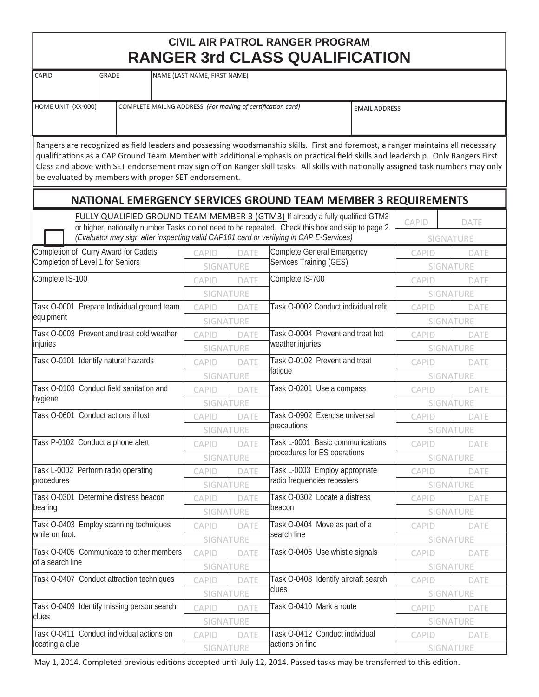## **CIVIL AIR PATROL RANGER PROGRAM RANGER 3rd CLASS QUALIFICATION**

| CAPID<br>GRADE     |  | NAME (LAST NAME, FIRST NAME)                                |                      |  |  |  |  |
|--------------------|--|-------------------------------------------------------------|----------------------|--|--|--|--|
|                    |  |                                                             |                      |  |  |  |  |
| HOME UNIT (XX-000) |  | COMPLETE MAILNG ADDRESS (For mailing of certification card) | <b>EMAIL ADDRESS</b> |  |  |  |  |
|                    |  |                                                             |                      |  |  |  |  |

Rangers are recognized as field leaders and possessing woodsmanship skills. First and foremost, a ranger maintains all necessary qualifications as a CAP Ground Team Member with additional emphasis on practical field skills and leadership. Only Rangers First Class and above with SET endorsement may sign off on Ranger skill tasks. All skills with nationally assigned task numbers may only be evaluated by members with proper SET endorsement.

|                                                                                        |                                   |                  | NATIONAL EMERGENCY SERVICES GROUND TEAM MEMBER 3 REQUIREMENTS                                                                                                                      |                  |             |  |
|----------------------------------------------------------------------------------------|-----------------------------------|------------------|------------------------------------------------------------------------------------------------------------------------------------------------------------------------------------|------------------|-------------|--|
|                                                                                        |                                   |                  | FULLY QUALIFIED GROUND TEAM MEMBER 3 (GTM3) If already a fully qualified GTM3<br>or higher, nationally number Tasks do not need to be repeated. Check this box and skip to page 2. | <b>CAPID</b>     | <b>DATE</b> |  |
| (Evaluator may sign after inspecting valid CAP101 card or verifying in CAP E-Services) |                                   |                  |                                                                                                                                                                                    |                  | SIGNATURE   |  |
| Completion of Curry Award for Cadets                                                   | <b>CAPID</b>                      | DATE             | Complete General Emergency                                                                                                                                                         | CAPID            | DATE        |  |
| Completion of Level 1 for Seniors                                                      | SIGNATURE                         |                  | Services Training (GES)                                                                                                                                                            |                  | SIGNATURE   |  |
| Complete IS-100                                                                        | <b>CAPID</b>                      | DATE             | Complete IS-700                                                                                                                                                                    | <b>CAPID</b>     | <b>DATE</b> |  |
|                                                                                        | SIGNATURE                         |                  |                                                                                                                                                                                    | SIGNATURE        |             |  |
| Task O-0001 Prepare Individual ground team                                             | CAPID                             | <b>DATE</b>      | Task O-0002 Conduct individual refit                                                                                                                                               | <b>CAPID</b>     | <b>DATE</b> |  |
| equipment                                                                              |                                   | SIGNATURE        |                                                                                                                                                                                    |                  | SIGNATURE   |  |
| Task O-0003 Prevent and treat cold weather                                             | CAPID                             | <b>DATE</b>      | Task O-0004 Prevent and treat hot                                                                                                                                                  | CAPID            | DATE        |  |
| injuries                                                                               | SIGNATURE                         |                  | weather injuries                                                                                                                                                                   | SIGNATURE        |             |  |
| Task O-0101 Identify natural hazards                                                   | <b>CAPID</b>                      | <b>DATE</b>      | Task O-0102 Prevent and treat                                                                                                                                                      | <b>CAPID</b>     | DATE        |  |
|                                                                                        |                                   | SIGNATURE        | fatigue                                                                                                                                                                            |                  | SIGNATURE   |  |
| Task O-0103 Conduct field sanitation and                                               | <b>CAPID</b>                      | DATE             | Task O-0201 Use a compass                                                                                                                                                          | CAPID            | DATE        |  |
| hygiene                                                                                |                                   | SIGNATURE        |                                                                                                                                                                                    |                  | SIGNATURE   |  |
| Task O-0601 Conduct actions if lost                                                    | <b>CAPID</b>                      | <b>DATE</b>      | Task O-0902 Exercise universal                                                                                                                                                     | <b>CAPID</b>     | DATE        |  |
|                                                                                        | SIGNATURE                         |                  | precautions                                                                                                                                                                        | <b>SIGNATURE</b> |             |  |
| Task P-0102 Conduct a phone alert                                                      | CAPID                             | <b>DATE</b>      | Task L-0001 Basic communications                                                                                                                                                   | <b>CAPID</b>     | <b>DATE</b> |  |
|                                                                                        | SIGNATURE                         |                  | procedures for ES operations                                                                                                                                                       | <b>SIGNATURE</b> |             |  |
| Task L-0002 Perform radio operating                                                    | CAPID                             | DATE             | Task L-0003 Employ appropriate                                                                                                                                                     | <b>CAPID</b>     | DATE        |  |
| procedures                                                                             | SIGNATURE                         |                  | radio frequencies repeaters                                                                                                                                                        | SIGNATURE        |             |  |
| Task O-0301 Determine distress beacon                                                  | CAPID                             | <b>DATE</b>      | Task O-0302 Locate a distress                                                                                                                                                      | CAPID            | DATE        |  |
| bearing                                                                                | SIGNATURE                         |                  | beacon                                                                                                                                                                             | SIGNATURE        |             |  |
| Task O-0403 Employ scanning techniques                                                 | <b>CAPID</b>                      | <b>DATE</b>      | Task O-0404 Move as part of a                                                                                                                                                      | CAPID            | DATE        |  |
| while on foot.                                                                         | SIGNATURE                         |                  | search line                                                                                                                                                                        | <b>SIGNATURE</b> |             |  |
| Task O-0405 Communicate to other members                                               | CAPID                             | <b>DATE</b>      | Task O-0406 Use whistle signals                                                                                                                                                    | <b>CAPID</b>     | DATE        |  |
| of a search line                                                                       |                                   | <b>SIGNATURE</b> |                                                                                                                                                                                    |                  | SIGNATURE   |  |
| Task O-0407 Conduct attraction techniques                                              | <b>CAPID</b>                      | <b>DATE</b>      | Task O-0408 Identify aircraft search                                                                                                                                               | <b>CAPID</b>     | DATE        |  |
|                                                                                        | SIGNATURE                         |                  | clues                                                                                                                                                                              |                  | SIGNATURE   |  |
| Task O-0409 Identify missing person search                                             | <b>CAPID</b><br>DATE<br>SIGNATURE |                  | Task O-0410 Mark a route                                                                                                                                                           | <b>CAPID</b>     | DATE        |  |
| clues                                                                                  |                                   |                  |                                                                                                                                                                                    |                  | SIGNATURE   |  |
| Task O-0411 Conduct individual actions on                                              | <b>CAPID</b>                      | DATE             | Task O-0412 Conduct individual                                                                                                                                                     | <b>CAPID</b>     | DATE        |  |
| locating a clue                                                                        | SIGNATURE                         |                  | actions on find                                                                                                                                                                    | SIGNATURE        |             |  |
|                                                                                        |                                   |                  |                                                                                                                                                                                    |                  |             |  |

May 1, 2014. Completed previous editions accepted until July 12, 2014. Passed tasks may be transferred to this edition.